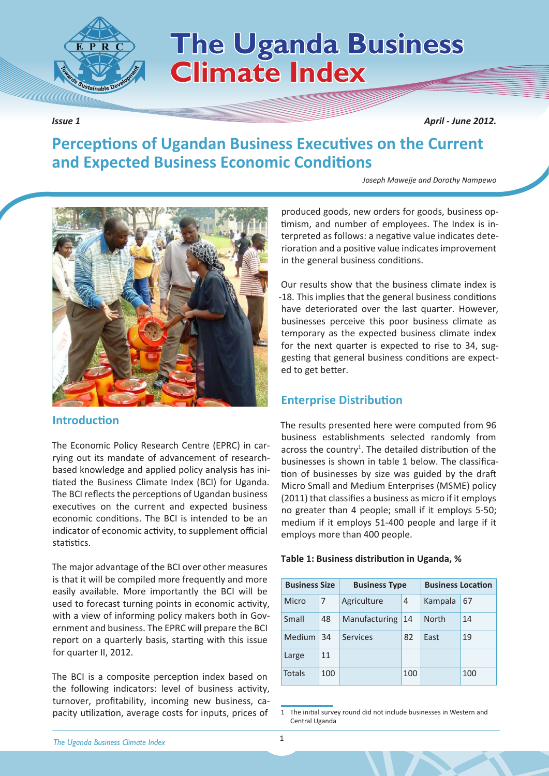

# **ISBN 2018** 7he Uganda Business **Climate Index**

*Issue 1 April - June 2012.*

# **Perceptions of Ugandan Business Executives on the Current and Expected Business Economic Conditions**

*Joseph Mawejje and Dorothy Nampewo*



# **Introduction**

The Economic Policy Research Centre (EPRC) in carrying out its mandate of advancement of researchbased knowledge and applied policy analysis has initiated the Business Climate Index (BCI) for Uganda. The BCI reflects the perceptions of Ugandan business executives on the current and expected business economic conditions. The BCI is intended to be an indicator of economic activity, to supplement official statistics.

The major advantage of the BCI over other measures is that it will be compiled more frequently and more easily available. More importantly the BCI will be used to forecast turning points in economic activity, with a view of informing policy makers both in Government and business. The EPRC will prepare the BCI report on a quarterly basis, starting with this issue for quarter II, 2012.

The BCI is a composite perception index based on the following indicators: level of business activity, turnover, profitability, incoming new business, capacity utilization, average costs for inputs, prices of

produced goods, new orders for goods, business optimism, and number of employees. The Index is interpreted as follows: a negative value indicates deterioration and a positive value indicates improvement in the general business conditions.

Our results show that the business climate index is -18. This implies that the general business conditions have deteriorated over the last quarter. However, businesses perceive this poor business climate as temporary as the expected business climate index for the next quarter is expected to rise to 34, suggesting that general business conditions are expected to get better.

# **Enterprise Distribution**

The results presented here were computed from 96 business establishments selected randomly from across the country<sup>1</sup>. The detailed distribution of the businesses is shown in table 1 below. The classification of businesses by size was guided by the draft Micro Small and Medium Enterprises (MSME) policy (2011) that classifies a business as micro if it employs no greater than 4 people; small if it employs 5-50; medium if it employs 51-400 people and large if it employs more than 400 people.

|  |  | Table 1: Business distribution in Uganda, % |  |  |  |
|--|--|---------------------------------------------|--|--|--|
|--|--|---------------------------------------------|--|--|--|

| <b>Business Size</b> |     | <b>Business Type</b> |     | <b>Business Location</b> |     |  |
|----------------------|-----|----------------------|-----|--------------------------|-----|--|
| Micro                | 7   | Agriculture          | 4   | Kampala                  | 67  |  |
| Small                | 48  | Manufacturing        | 14  | <b>North</b>             | 14  |  |
| Medium               | 34  | Services             | 82  | East                     | 19  |  |
| Large                | 11  |                      |     |                          |     |  |
| Totals               | 100 |                      | 100 |                          | 100 |  |

1 The initial survey round did not include businesses in Western and Central Uganda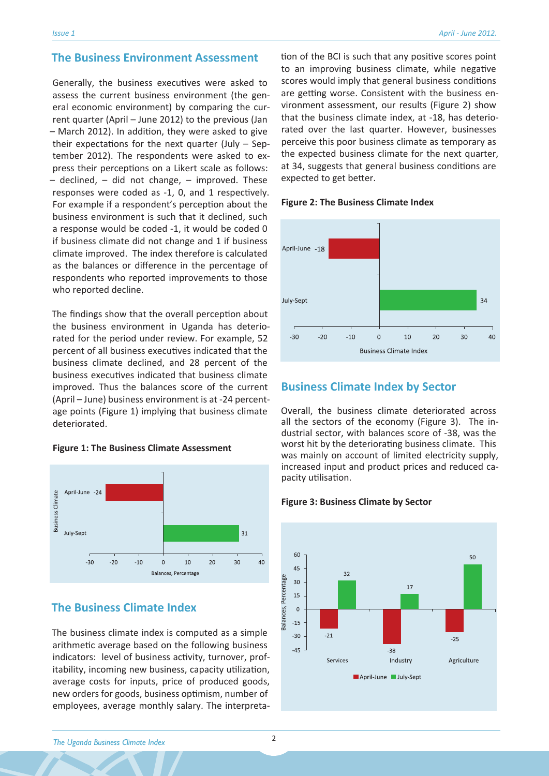# **The Business Environment Assessment**

Generally, the business executives were asked to assess the current business environment (the general economic environment) by comparing the current quarter (April – June 2012) to the previous (Jan – March 2012). In addition, they were asked to give their expectations for the next quarter (July – September 2012). The respondents were asked to express their perceptions on a Likert scale as follows:  $-$  declined,  $-$  did not change,  $-$  improved. These responses were coded as -1, 0, and 1 respectively. For example if a respondent's perception about the business environment is such that it declined, such a response would be coded -1, it would be coded 0 if business climate did not change and 1 if business climate improved. The index therefore is calculated as the balances or difference in the percentage of respondents who reported improvements to those who reported decline.

The findings show that the overall perception about the business environment in Uganda has deteriorated for the period under review. For example, 52 percent of all business executives indicated that the business climate declined, and 28 percent of the business executives indicated that business climate improved. Thus the balances score of the current (April – June) business environment is at -24 percentage points (Figure 1) implying that business climate deteriorated.

### **Figure 1: The Business Climate Assessment**



# **The Business Climate Index**

The business climate index is computed as a simple arithmetic average based on the following business indicators: level of business activity, turnover, profitability, incoming new business, capacity utilization, average costs for inputs, price of produced goods, new orders for goods, business optimism, number of employees, average monthly salary. The interpretation of the BCI is such that any positive scores point to an improving business climate, while negative scores would imply that general business conditions are getting worse. Consistent with the business environment assessment, our results (Figure 2) show that the business climate index, at -18, has deteriorated over the last quarter. However, businesses perceive this poor business climate as temporary as the expected business climate for the next quarter, at 34, suggests that general business conditions are expected to get better.

#### **Figure 2: The Business Climate Index**



# **Business Climate Index by Sector**

Overall, the business climate deteriorated across all the sectors of the economy (Figure 3). The industrial sector, with balances score of -38, was the worst hit by the deteriorating business climate. This was mainly on account of limited electricity supply, increased input and product prices and reduced capacity utilisation.

#### **Figure 3: Business Climate by Sector**

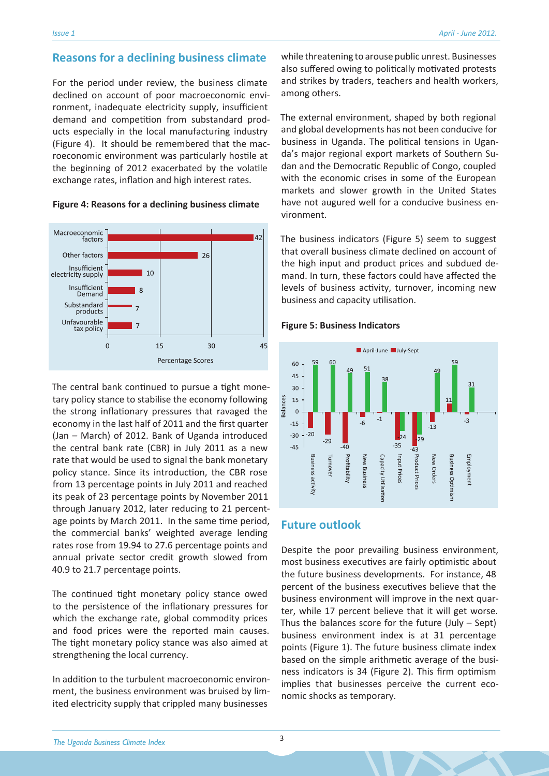# **Reasons for a declining business climate**

For the period under review, the business climate declined on account of poor macroeconomic environment, inadequate electricity supply, insufficient demand and competition from substandard products especially in the local manufacturing industry (Figure 4). It should be remembered that the macroeconomic environment was particularly hostile at the beginning of 2012 exacerbated by the volatile exchange rates, inflation and high interest rates.



#### **Figure 4: Reasons for a declining business climate**

The central bank continued to pursue a tight monetary policy stance to stabilise the economy following the strong inflationary pressures that ravaged the economy in the last half of 2011 and the first quarter (Jan – March) of 2012. Bank of Uganda introduced the central bank rate (CBR) in July 2011 as a new rate that would be used to signal the bank monetary policy stance. Since its introduction, the CBR rose from 13 percentage points in July 2011 and reached its peak of 23 percentage points by November 2011 through January 2012, later reducing to 21 percentage points by March 2011. In the same time period, the commercial banks' weighted average lending rates rose from 19.94 to 27.6 percentage points and annual private sector credit growth slowed from 40.9 to 21.7 percentage points.

The continued tight monetary policy stance owed to the persistence of the inflationary pressures for which the exchange rate, global commodity prices and food prices were the reported main causes. The tight monetary policy stance was also aimed at strengthening the local currency.

In addition to the turbulent macroeconomic environment, the business environment was bruised by limited electricity supply that crippled many businesses

while threatening to arouse public unrest. Businesses also suffered owing to politically motivated protests and strikes by traders, teachers and health workers, among others.

The external environment, shaped by both regional and global developments has not been conducive for business in Uganda. The political tensions in Uganda's major regional export markets of Southern Sudan and the Democratic Republic of Congo, coupled with the economic crises in some of the European markets and slower growth in the United States have not augured well for a conducive business environment.

The business indicators (Figure 5) seem to suggest that overall business climate declined on account of the high input and product prices and subdued demand. In turn, these factors could have affected the levels of business activity, turnover, incoming new business and capacity utilisation.

#### **Figure 5: Business Indicators**



# **Future outlook**

Despite the poor prevailing business environment, most business executives are fairly optimistic about the future business developments. For instance, 48 percent of the business executives believe that the business environment will improve in the next quarter, while 17 percent believe that it will get worse. Thus the balances score for the future  $(July - Sept)$ business environment index is at 31 percentage points (Figure 1). The future business climate index based on the simple arithmetic average of the business indicators is 34 (Figure 2). This firm optimism implies that businesses perceive the current economic shocks as temporary.